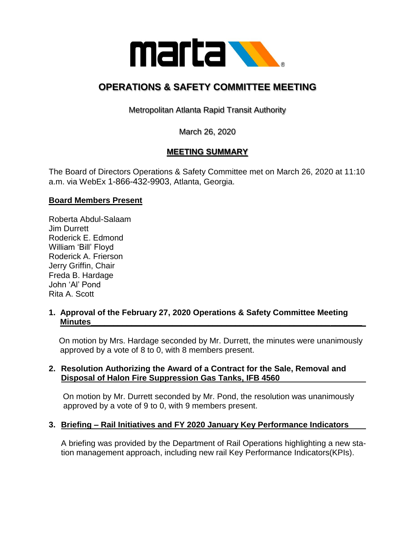

# **OPERATIONS & SAFETY COMMITTEE MEETING**

Metropolitan Atlanta Rapid Transit Authority

March 26, 2020

# **MEETING SUMMARY**

The Board of Directors Operations & Safety Committee met on March 26, 2020 at 11:10 a.m. via WebEx 1-866-432-9903, Atlanta, Georgia.

## **Board Members Present**

Roberta Abdul-Salaam Jim Durrett Roderick E. Edmond William 'Bill' Floyd Roderick A. Frierson Jerry Griffin, Chair Freda B. Hardage John 'Al' Pond Rita A. Scott

### **1. Approval of the February 27, 2020 Operations & Safety Committee Meeting Minutes\_\_\_\_\_\_\_\_\_\_\_\_\_\_\_\_\_\_\_\_\_\_\_\_\_\_\_\_\_\_\_\_\_\_\_\_\_\_\_\_\_\_\_\_\_\_\_\_\_\_\_\_\_\_\_\_\_\_\_\_**

 On motion by Mrs. Hardage seconded by Mr. Durrett, the minutes were unanimously approved by a vote of 8 to 0, with 8 members present.

#### **2. Resolution Authorizing the Award of a Contract for the Sale, Removal and Disposal of Halon Fire Suppression Gas Tanks, IFB 4560**

On motion by Mr. Durrett seconded by Mr. Pond, the resolution was unanimously approved by a vote of 9 to 0, with 9 members present.

### **3. Briefing – Rail Initiatives and FY 2020 January Key Performance Indicators**

A briefing was provided by the Department of Rail Operations highlighting a new station management approach, including new rail Key Performance Indicators(KPIs).